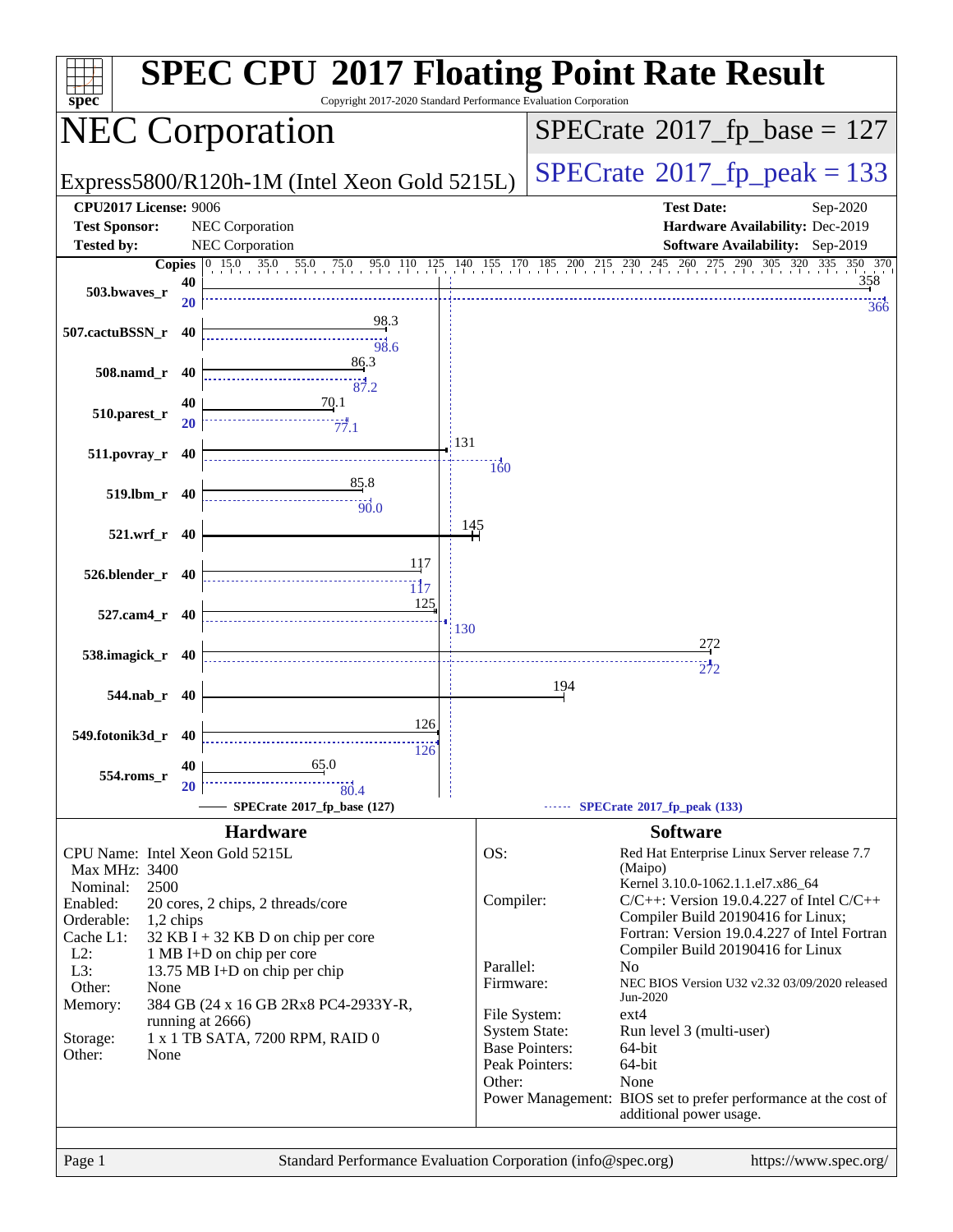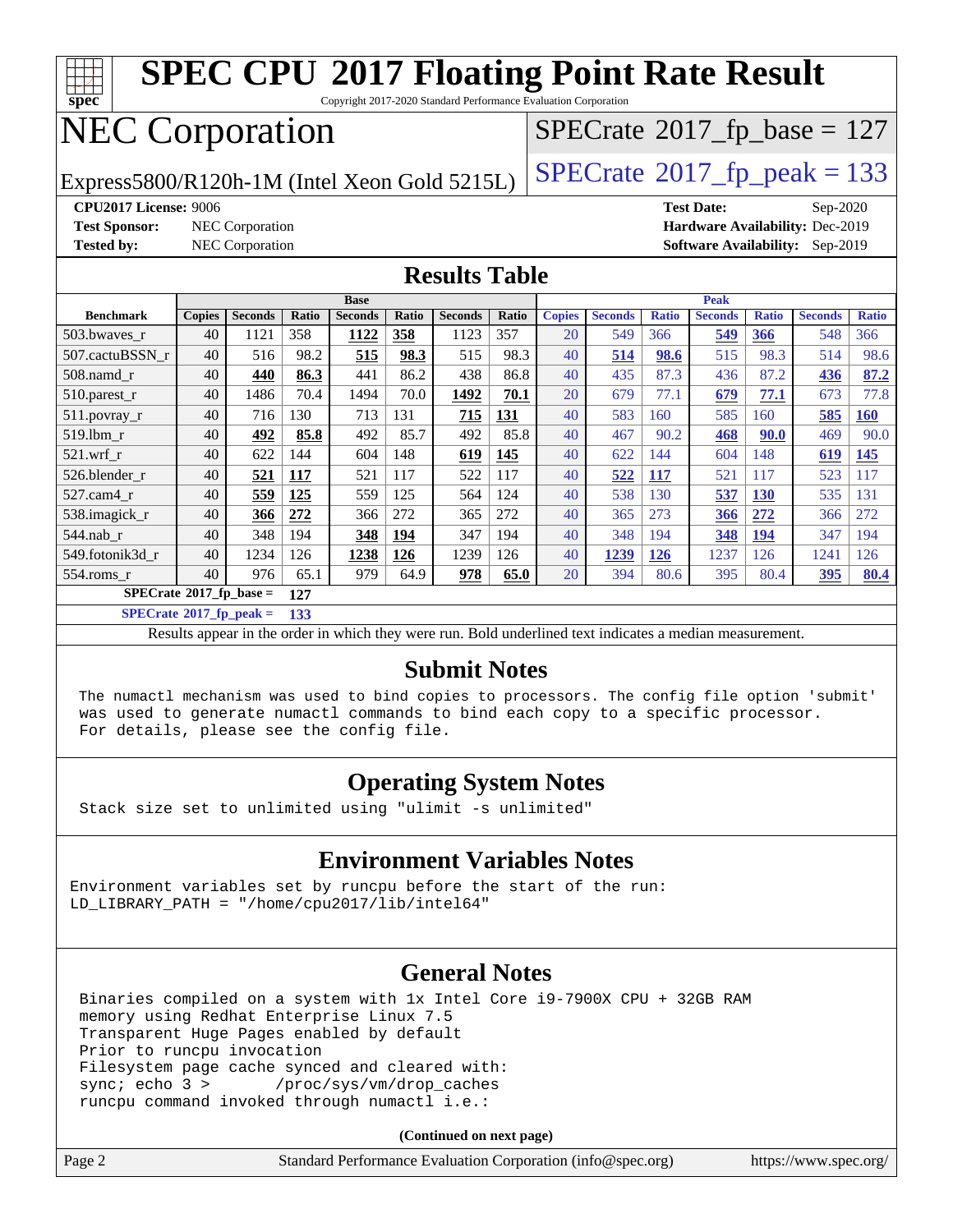

**[SPECrate](http://www.spec.org/auto/cpu2017/Docs/result-fields.html#SPECrate2017fppeak)[2017\\_fp\\_peak =](http://www.spec.org/auto/cpu2017/Docs/result-fields.html#SPECrate2017fppeak) 133**

Results appear in the [order in which they were run.](http://www.spec.org/auto/cpu2017/Docs/result-fields.html#RunOrder) Bold underlined text [indicates a median measurement.](http://www.spec.org/auto/cpu2017/Docs/result-fields.html#Median)

#### **[Submit Notes](http://www.spec.org/auto/cpu2017/Docs/result-fields.html#SubmitNotes)**

 The numactl mechanism was used to bind copies to processors. The config file option 'submit' was used to generate numactl commands to bind each copy to a specific processor. For details, please see the config file.

#### **[Operating System Notes](http://www.spec.org/auto/cpu2017/Docs/result-fields.html#OperatingSystemNotes)**

Stack size set to unlimited using "ulimit -s unlimited"

#### **[Environment Variables Notes](http://www.spec.org/auto/cpu2017/Docs/result-fields.html#EnvironmentVariablesNotes)**

Environment variables set by runcpu before the start of the run: LD\_LIBRARY\_PATH = "/home/cpu2017/lib/intel64"

#### **[General Notes](http://www.spec.org/auto/cpu2017/Docs/result-fields.html#GeneralNotes)**

 Binaries compiled on a system with 1x Intel Core i9-7900X CPU + 32GB RAM memory using Redhat Enterprise Linux 7.5 Transparent Huge Pages enabled by default Prior to runcpu invocation Filesystem page cache synced and cleared with: sync; echo 3 > /proc/sys/vm/drop\_caches runcpu command invoked through numactl i.e.:

**(Continued on next page)**

|  | Page 2 | Standard Performance Evaluation Corporation (info@spec.org) | https://www.spec.org/ |
|--|--------|-------------------------------------------------------------|-----------------------|
|--|--------|-------------------------------------------------------------|-----------------------|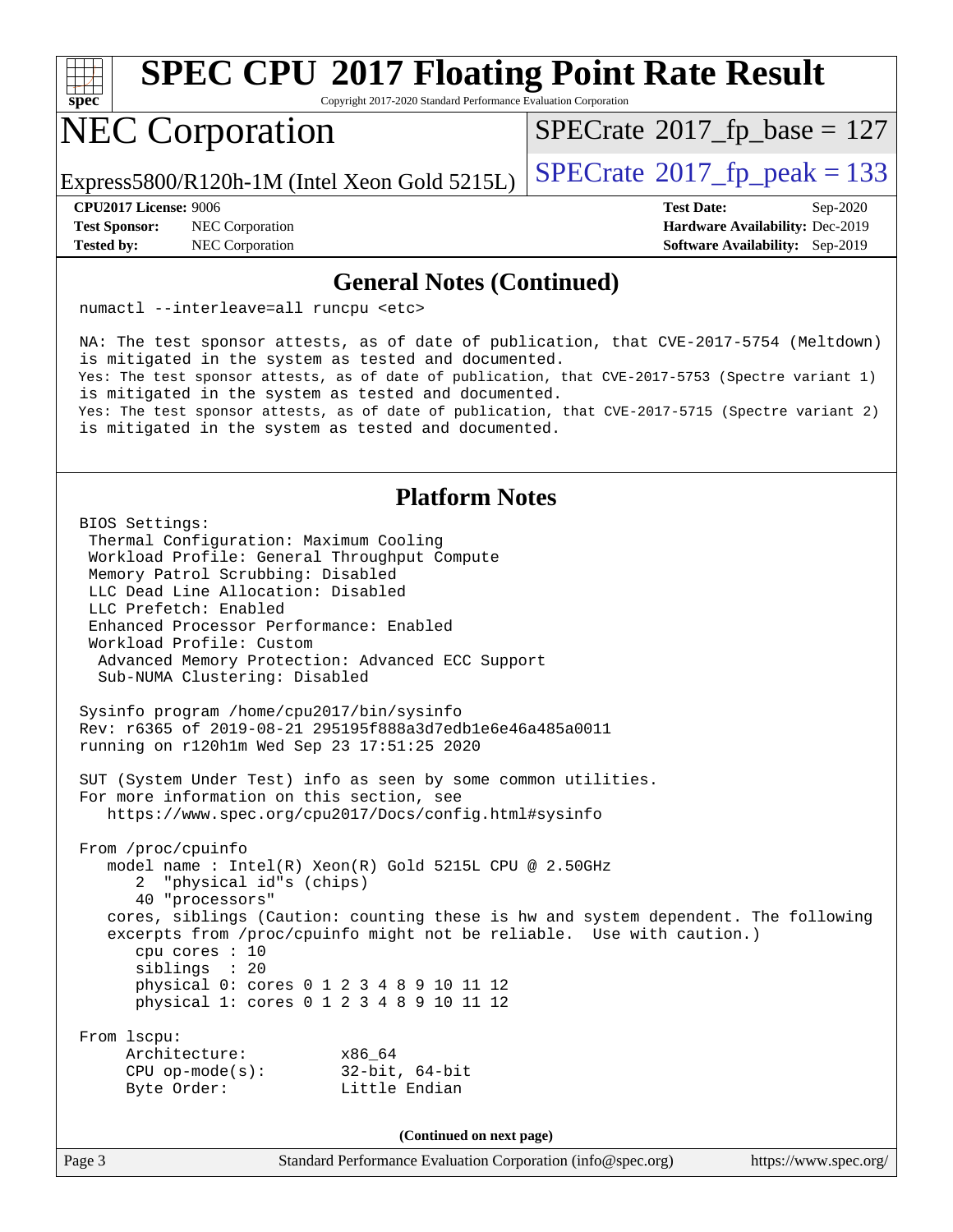

Copyright 2017-2020 Standard Performance Evaluation Corporation

## NEC Corporation

 $SPECTate$ <sup>®</sup>[2017\\_fp\\_base =](http://www.spec.org/auto/cpu2017/Docs/result-fields.html#SPECrate2017fpbase) 127

Express5800/R120h-1M (Intel Xeon Gold 5215L)  $\vert$  [SPECrate](http://www.spec.org/auto/cpu2017/Docs/result-fields.html#SPECrate2017fppeak)®[2017\\_fp\\_peak = 1](http://www.spec.org/auto/cpu2017/Docs/result-fields.html#SPECrate2017fppeak)33

**[Test Sponsor:](http://www.spec.org/auto/cpu2017/Docs/result-fields.html#TestSponsor)** NEC Corporation **[Hardware Availability:](http://www.spec.org/auto/cpu2017/Docs/result-fields.html#HardwareAvailability)** Dec-2019

**[CPU2017 License:](http://www.spec.org/auto/cpu2017/Docs/result-fields.html#CPU2017License)** 9006 **[Test Date:](http://www.spec.org/auto/cpu2017/Docs/result-fields.html#TestDate)** Sep-2020 **[Tested by:](http://www.spec.org/auto/cpu2017/Docs/result-fields.html#Testedby)** NEC Corporation **[Software Availability:](http://www.spec.org/auto/cpu2017/Docs/result-fields.html#SoftwareAvailability)** Sep-2019

#### **[General Notes \(Continued\)](http://www.spec.org/auto/cpu2017/Docs/result-fields.html#GeneralNotes)**

numactl --interleave=all runcpu <etc>

 NA: The test sponsor attests, as of date of publication, that CVE-2017-5754 (Meltdown) is mitigated in the system as tested and documented. Yes: The test sponsor attests, as of date of publication, that CVE-2017-5753 (Spectre variant 1) is mitigated in the system as tested and documented. Yes: The test sponsor attests, as of date of publication, that CVE-2017-5715 (Spectre variant 2) is mitigated in the system as tested and documented.

#### **[Platform Notes](http://www.spec.org/auto/cpu2017/Docs/result-fields.html#PlatformNotes)**

 BIOS Settings: Thermal Configuration: Maximum Cooling Workload Profile: General Throughput Compute Memory Patrol Scrubbing: Disabled LLC Dead Line Allocation: Disabled LLC Prefetch: Enabled Enhanced Processor Performance: Enabled Workload Profile: Custom Advanced Memory Protection: Advanced ECC Support Sub-NUMA Clustering: Disabled Sysinfo program /home/cpu2017/bin/sysinfo Rev: r6365 of 2019-08-21 295195f888a3d7edb1e6e46a485a0011 running on r120h1m Wed Sep 23 17:51:25 2020 SUT (System Under Test) info as seen by some common utilities. For more information on this section, see <https://www.spec.org/cpu2017/Docs/config.html#sysinfo> From /proc/cpuinfo model name : Intel(R) Xeon(R) Gold 5215L CPU @ 2.50GHz 2 "physical id"s (chips) 40 "processors" cores, siblings (Caution: counting these is hw and system dependent. The following excerpts from /proc/cpuinfo might not be reliable. Use with caution.) cpu cores : 10 siblings : 20 physical 0: cores 0 1 2 3 4 8 9 10 11 12 physical 1: cores 0 1 2 3 4 8 9 10 11 12 From lscpu: Architecture: x86\_64 CPU op-mode(s): 32-bit, 64-bit Byte Order: Little Endian **(Continued on next page)**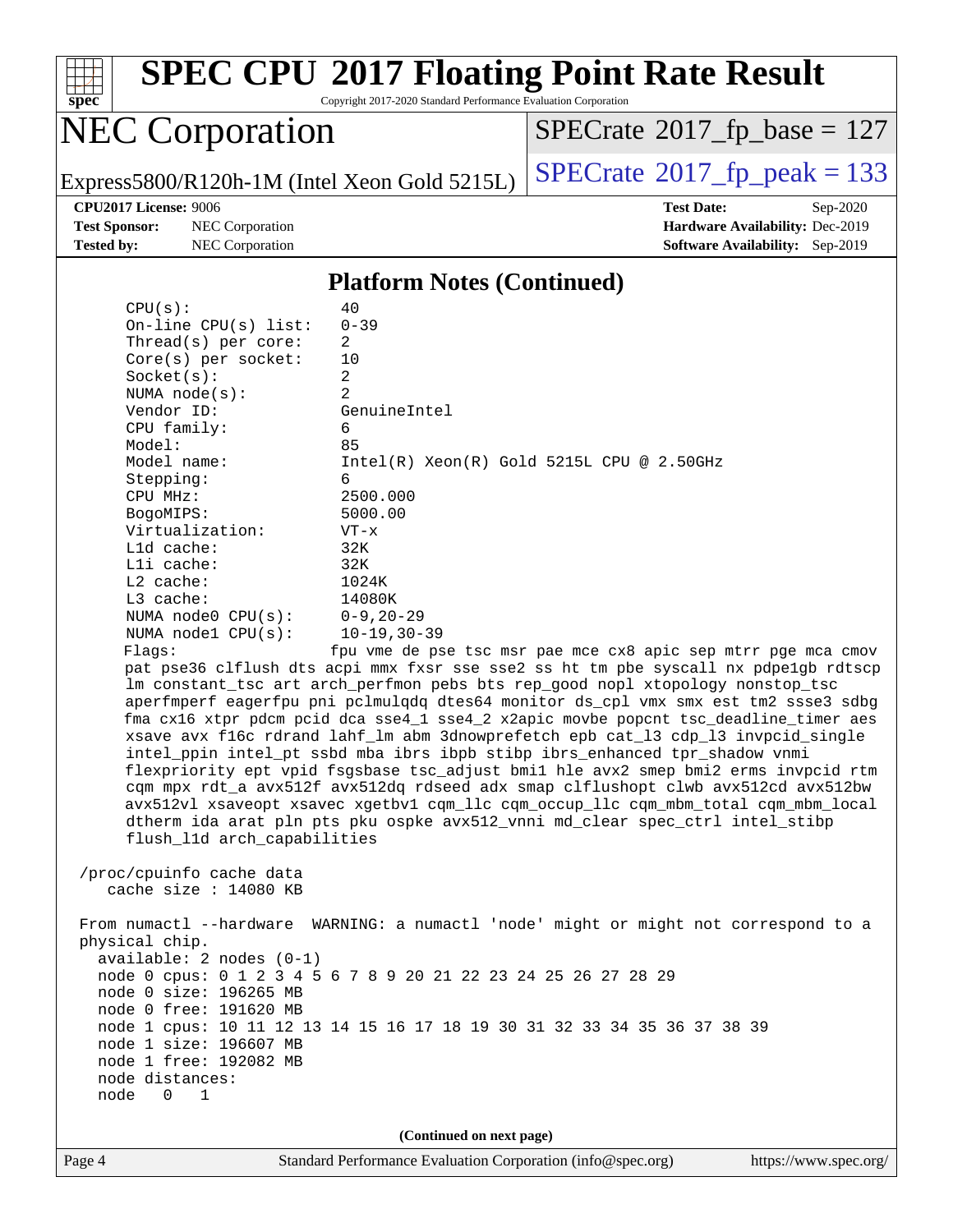

Copyright 2017-2020 Standard Performance Evaluation Corporation

## NEC Corporation

 $SPECrate$ <sup>®</sup>[2017\\_fp\\_base =](http://www.spec.org/auto/cpu2017/Docs/result-fields.html#SPECrate2017fpbase) 127

Express5800/R120h-1M (Intel Xeon Gold 5215L)  $\left|$  [SPECrate](http://www.spec.org/auto/cpu2017/Docs/result-fields.html#SPECrate2017fppeak)®[2017\\_fp\\_peak = 1](http://www.spec.org/auto/cpu2017/Docs/result-fields.html#SPECrate2017fppeak)33

**[Test Sponsor:](http://www.spec.org/auto/cpu2017/Docs/result-fields.html#TestSponsor)** NEC Corporation **[Hardware Availability:](http://www.spec.org/auto/cpu2017/Docs/result-fields.html#HardwareAvailability)** Dec-2019 **[Tested by:](http://www.spec.org/auto/cpu2017/Docs/result-fields.html#Testedby)** NEC Corporation **[Software Availability:](http://www.spec.org/auto/cpu2017/Docs/result-fields.html#SoftwareAvailability)** Sep-2019

**[CPU2017 License:](http://www.spec.org/auto/cpu2017/Docs/result-fields.html#CPU2017License)** 9006 **[Test Date:](http://www.spec.org/auto/cpu2017/Docs/result-fields.html#TestDate)** Sep-2020

#### **[Platform Notes \(Continued\)](http://www.spec.org/auto/cpu2017/Docs/result-fields.html#PlatformNotes)**

| CPU(s):                                                              | 40                                                                                                                                                                                                                                                                                                                                                                                                                                                                                                                                                                                                                                                                                                                                                                                                                                                                   |
|----------------------------------------------------------------------|----------------------------------------------------------------------------------------------------------------------------------------------------------------------------------------------------------------------------------------------------------------------------------------------------------------------------------------------------------------------------------------------------------------------------------------------------------------------------------------------------------------------------------------------------------------------------------------------------------------------------------------------------------------------------------------------------------------------------------------------------------------------------------------------------------------------------------------------------------------------|
| On-line CPU(s) list:                                                 | $0 - 39$                                                                                                                                                                                                                                                                                                                                                                                                                                                                                                                                                                                                                                                                                                                                                                                                                                                             |
| Thread(s) per core:                                                  | 2                                                                                                                                                                                                                                                                                                                                                                                                                                                                                                                                                                                                                                                                                                                                                                                                                                                                    |
| Core(s) per socket:                                                  | 10                                                                                                                                                                                                                                                                                                                                                                                                                                                                                                                                                                                                                                                                                                                                                                                                                                                                   |
| Socket(s):                                                           | $\overline{2}$                                                                                                                                                                                                                                                                                                                                                                                                                                                                                                                                                                                                                                                                                                                                                                                                                                                       |
| NUMA $node(s)$ :                                                     | $\overline{2}$                                                                                                                                                                                                                                                                                                                                                                                                                                                                                                                                                                                                                                                                                                                                                                                                                                                       |
| Vendor ID:                                                           | GenuineIntel                                                                                                                                                                                                                                                                                                                                                                                                                                                                                                                                                                                                                                                                                                                                                                                                                                                         |
| CPU family:                                                          | 6                                                                                                                                                                                                                                                                                                                                                                                                                                                                                                                                                                                                                                                                                                                                                                                                                                                                    |
| Model:                                                               | 85                                                                                                                                                                                                                                                                                                                                                                                                                                                                                                                                                                                                                                                                                                                                                                                                                                                                   |
| Model name:                                                          | $Intel(R) Xeon(R) Gold 5215L CPU @ 2.50GHz$                                                                                                                                                                                                                                                                                                                                                                                                                                                                                                                                                                                                                                                                                                                                                                                                                          |
| Stepping:                                                            | 6                                                                                                                                                                                                                                                                                                                                                                                                                                                                                                                                                                                                                                                                                                                                                                                                                                                                    |
| CPU MHz:                                                             | 2500.000                                                                                                                                                                                                                                                                                                                                                                                                                                                                                                                                                                                                                                                                                                                                                                                                                                                             |
| BogoMIPS:                                                            | 5000.00                                                                                                                                                                                                                                                                                                                                                                                                                                                                                                                                                                                                                                                                                                                                                                                                                                                              |
| Virtualization:                                                      | $VT - x$                                                                                                                                                                                                                                                                                                                                                                                                                                                                                                                                                                                                                                                                                                                                                                                                                                                             |
| L1d cache:                                                           | 32K                                                                                                                                                                                                                                                                                                                                                                                                                                                                                                                                                                                                                                                                                                                                                                                                                                                                  |
| Lli cache:                                                           | 32K                                                                                                                                                                                                                                                                                                                                                                                                                                                                                                                                                                                                                                                                                                                                                                                                                                                                  |
| $L2$ cache:                                                          | 1024K                                                                                                                                                                                                                                                                                                                                                                                                                                                                                                                                                                                                                                                                                                                                                                                                                                                                |
| $L3$ cache:                                                          | 14080K                                                                                                                                                                                                                                                                                                                                                                                                                                                                                                                                                                                                                                                                                                                                                                                                                                                               |
| NUMA node0 CPU(s):                                                   | $0 - 9, 20 - 29$                                                                                                                                                                                                                                                                                                                                                                                                                                                                                                                                                                                                                                                                                                                                                                                                                                                     |
| NUMA nodel $CPU(s):$                                                 | $10 - 19, 30 - 39$                                                                                                                                                                                                                                                                                                                                                                                                                                                                                                                                                                                                                                                                                                                                                                                                                                                   |
| Flags:                                                               | fpu vme de pse tsc msr pae mce cx8 apic sep mtrr pge mca cmov                                                                                                                                                                                                                                                                                                                                                                                                                                                                                                                                                                                                                                                                                                                                                                                                        |
| flush_11d arch_capabilities                                          | pat pse36 clflush dts acpi mmx fxsr sse sse2 ss ht tm pbe syscall nx pdpe1gb rdtscp<br>lm constant_tsc art arch_perfmon pebs bts rep_good nopl xtopology nonstop_tsc<br>aperfmperf eagerfpu pni pclmulqdq dtes64 monitor ds_cpl vmx smx est tm2 ssse3 sdbg<br>fma cx16 xtpr pdcm pcid dca sse4_1 sse4_2 x2apic movbe popcnt tsc_deadline_timer aes<br>xsave avx f16c rdrand lahf_lm abm 3dnowprefetch epb cat_13 cdp_13 invpcid_single<br>intel_ppin intel_pt ssbd mba ibrs ibpb stibp ibrs_enhanced tpr_shadow vnmi<br>flexpriority ept vpid fsgsbase tsc_adjust bmil hle avx2 smep bmi2 erms invpcid rtm<br>cqm mpx rdt_a avx512f avx512dq rdseed adx smap clflushopt clwb avx512cd avx512bw<br>avx512vl xsaveopt xsavec xgetbvl cqm_llc cqm_occup_llc cqm_mbm_total cqm_mbm_local<br>dtherm ida arat pln pts pku ospke avx512_vnni md_clear spec_ctrl intel_stibp |
| /proc/cpuinfo cache data<br>cache size : 14080 KB                    |                                                                                                                                                                                                                                                                                                                                                                                                                                                                                                                                                                                                                                                                                                                                                                                                                                                                      |
| physical chip.<br>available: 2 nodes (0-1)<br>node 0 size: 196265 MB | From numactl --hardware WARNING: a numactl 'node' might or might not correspond to a<br>node 0 cpus: 0 1 2 3 4 5 6 7 8 9 20 21 22 23 24 25 26 27 28 29                                                                                                                                                                                                                                                                                                                                                                                                                                                                                                                                                                                                                                                                                                               |
| node 0 free: 191620 MB                                               |                                                                                                                                                                                                                                                                                                                                                                                                                                                                                                                                                                                                                                                                                                                                                                                                                                                                      |
|                                                                      | node 1 cpus: 10 11 12 13 14 15 16 17 18 19 30 31 32 33 34 35 36 37 38 39                                                                                                                                                                                                                                                                                                                                                                                                                                                                                                                                                                                                                                                                                                                                                                                             |
|                                                                      |                                                                                                                                                                                                                                                                                                                                                                                                                                                                                                                                                                                                                                                                                                                                                                                                                                                                      |

node 1 size: 196607 MB

 node 1 free: 192082 MB node distances:

node 0 1

**(Continued on next page)**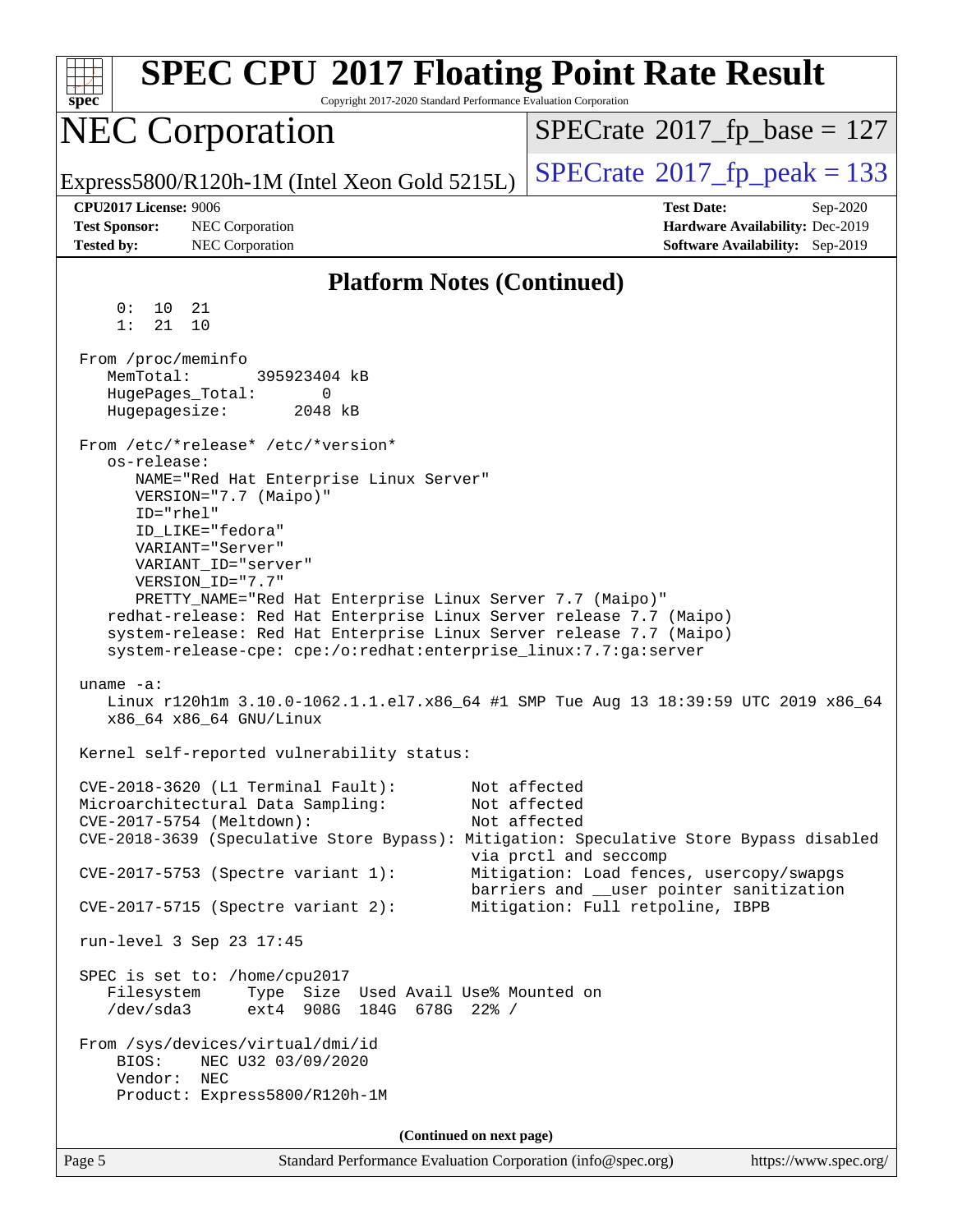| <b>SPEC CPU®2017 Floating Point Rate Result</b><br>spec<br>Copyright 2017-2020 Standard Performance Evaluation Corporation                                                                                                                                                                                                                                                                                                                                                                                                                                                                                                                                                                                                                                                                                                        |                                                                                      |
|-----------------------------------------------------------------------------------------------------------------------------------------------------------------------------------------------------------------------------------------------------------------------------------------------------------------------------------------------------------------------------------------------------------------------------------------------------------------------------------------------------------------------------------------------------------------------------------------------------------------------------------------------------------------------------------------------------------------------------------------------------------------------------------------------------------------------------------|--------------------------------------------------------------------------------------|
| <b>NEC Corporation</b>                                                                                                                                                                                                                                                                                                                                                                                                                                                                                                                                                                                                                                                                                                                                                                                                            | $SPECrate^{\circ}2017$ _fp_base = 127                                                |
| Express5800/R120h-1M (Intel Xeon Gold 5215L)                                                                                                                                                                                                                                                                                                                                                                                                                                                                                                                                                                                                                                                                                                                                                                                      | $SPECTate@2017fr peak = 133$                                                         |
| <b>CPU2017 License: 9006</b>                                                                                                                                                                                                                                                                                                                                                                                                                                                                                                                                                                                                                                                                                                                                                                                                      | <b>Test Date:</b><br>Sep-2020                                                        |
| <b>Test Sponsor:</b><br>NEC Corporation                                                                                                                                                                                                                                                                                                                                                                                                                                                                                                                                                                                                                                                                                                                                                                                           | Hardware Availability: Dec-2019                                                      |
| <b>Tested by:</b><br>NEC Corporation                                                                                                                                                                                                                                                                                                                                                                                                                                                                                                                                                                                                                                                                                                                                                                                              | <b>Software Availability:</b> Sep-2019                                               |
| <b>Platform Notes (Continued)</b>                                                                                                                                                                                                                                                                                                                                                                                                                                                                                                                                                                                                                                                                                                                                                                                                 |                                                                                      |
| 0 :<br>10<br>21<br>21<br>1:<br>10                                                                                                                                                                                                                                                                                                                                                                                                                                                                                                                                                                                                                                                                                                                                                                                                 |                                                                                      |
| From /proc/meminfo<br>MemTotal:<br>395923404 kB<br>HugePages_Total:<br>$\Omega$<br>Hugepagesize:<br>2048 kB                                                                                                                                                                                                                                                                                                                                                                                                                                                                                                                                                                                                                                                                                                                       |                                                                                      |
| From /etc/*release* /etc/*version*<br>os-release:                                                                                                                                                                                                                                                                                                                                                                                                                                                                                                                                                                                                                                                                                                                                                                                 |                                                                                      |
| NAME="Red Hat Enterprise Linux Server"<br>VERSION="7.7 (Maipo)"<br>ID="rhel"<br>ID_LIKE="fedora"<br>VARIANT="Server"<br>VARIANT ID="server"<br>VERSION_ID="7.7"<br>PRETTY_NAME="Red Hat Enterprise Linux Server 7.7 (Maipo)"<br>redhat-release: Red Hat Enterprise Linux Server release 7.7 (Maipo)<br>system-release: Red Hat Enterprise Linux Server release 7.7 (Maipo)<br>system-release-cpe: cpe:/o:redhat:enterprise_linux:7.7:ga:server<br>uname $-a$ :<br>Linux r120hlm 3.10.0-1062.1.1.el7.x86_64 #1 SMP Tue Aug 13 18:39:59 UTC 2019 x86_64<br>x86 64 x86 64 GNU/Linux<br>Kernel self-reported vulnerability status:<br>CVE-2018-3620 (L1 Terminal Fault):<br>Microarchitectural Data Sampling:<br>CVE-2017-5754 (Meltdown):<br>CVE-2018-3639 (Speculative Store Bypass): Mitigation: Speculative Store Bypass disabled | Not affected<br>Not affected<br>Not affected<br>via prctl and seccomp                |
| CVE-2017-5753 (Spectre variant 1):                                                                                                                                                                                                                                                                                                                                                                                                                                                                                                                                                                                                                                                                                                                                                                                                | Mitigation: Load fences, usercopy/swapgs<br>barriers and __user pointer sanitization |
| CVE-2017-5715 (Spectre variant 2):<br>run-level 3 Sep 23 17:45                                                                                                                                                                                                                                                                                                                                                                                                                                                                                                                                                                                                                                                                                                                                                                    | Mitigation: Full retpoline, IBPB                                                     |
| SPEC is set to: /home/cpu2017<br>Filesystem<br>Type Size Used Avail Use% Mounted on<br>/dev/sda3<br>ext4 908G 184G 678G 22% /                                                                                                                                                                                                                                                                                                                                                                                                                                                                                                                                                                                                                                                                                                     |                                                                                      |
| From /sys/devices/virtual/dmi/id<br>BIOS:<br>NEC U32 03/09/2020<br>Vendor:<br>NEC<br>Product: Express5800/R120h-1M                                                                                                                                                                                                                                                                                                                                                                                                                                                                                                                                                                                                                                                                                                                |                                                                                      |
| (Continued on next page)                                                                                                                                                                                                                                                                                                                                                                                                                                                                                                                                                                                                                                                                                                                                                                                                          |                                                                                      |
| Page 5<br>Standard Performance Evaluation Corporation (info@spec.org)                                                                                                                                                                                                                                                                                                                                                                                                                                                                                                                                                                                                                                                                                                                                                             | https://www.spec.org/                                                                |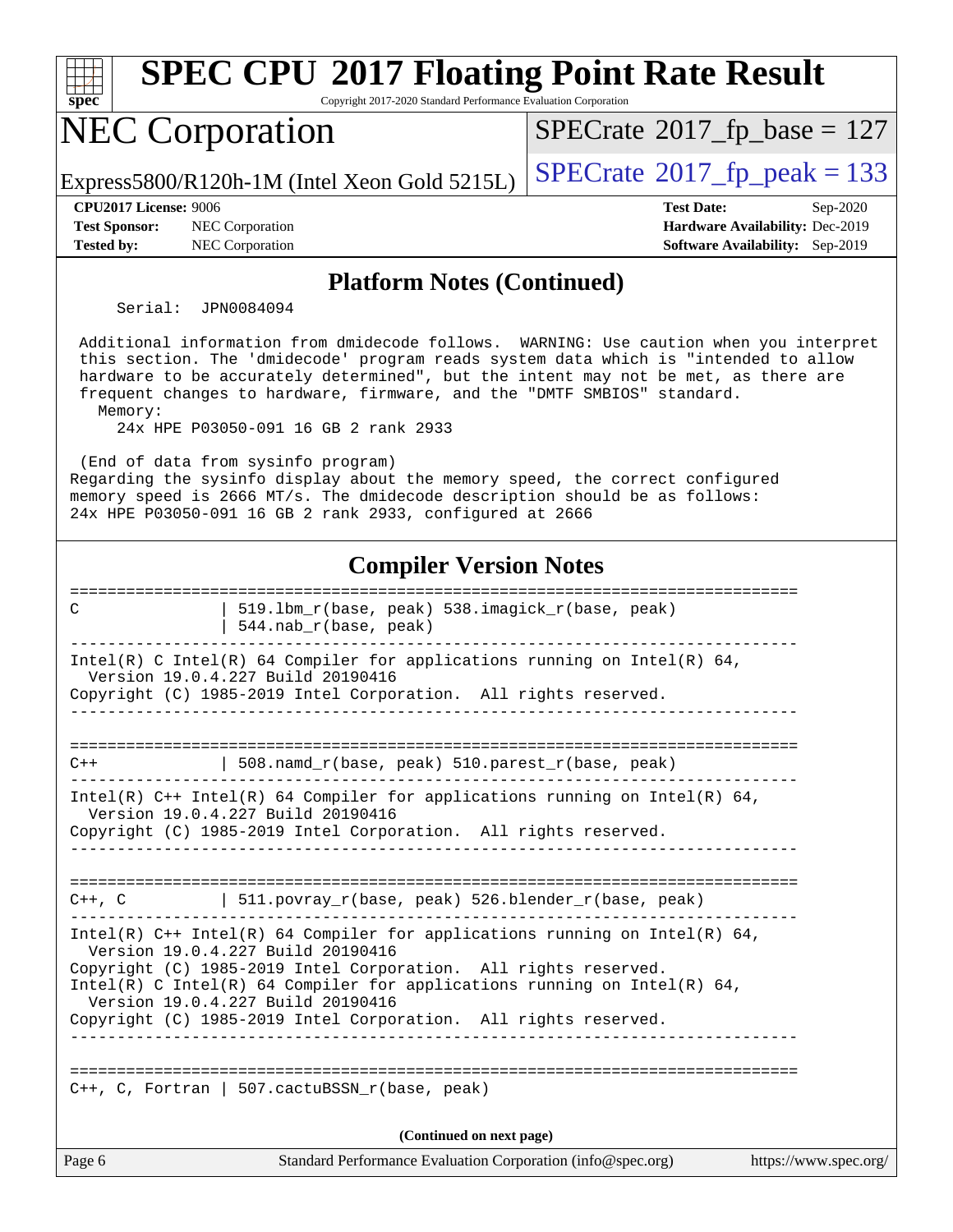| <b>SPEC CPU®2017 Floating Point Rate Result</b><br>spec<br>Copyright 2017-2020 Standard Performance Evaluation Corporation                                                                                                                                                                                                                                                                        |                                                                                                     |
|---------------------------------------------------------------------------------------------------------------------------------------------------------------------------------------------------------------------------------------------------------------------------------------------------------------------------------------------------------------------------------------------------|-----------------------------------------------------------------------------------------------------|
| <b>NEC Corporation</b>                                                                                                                                                                                                                                                                                                                                                                            | $SPECrate^{\circ}2017$ _fp_base = 127                                                               |
| Express5800/R120h-1M (Intel Xeon Gold 5215L)                                                                                                                                                                                                                                                                                                                                                      | $SPECrate^{\circ}2017$ _fp_peak = 133                                                               |
| <b>CPU2017 License: 9006</b><br><b>Test Sponsor:</b><br>NEC Corporation<br><b>Tested by:</b><br><b>NEC Corporation</b>                                                                                                                                                                                                                                                                            | <b>Test Date:</b><br>Sep-2020<br>Hardware Availability: Dec-2019<br>Software Availability: Sep-2019 |
| <b>Platform Notes (Continued)</b>                                                                                                                                                                                                                                                                                                                                                                 |                                                                                                     |
| Serial: JPN0084094                                                                                                                                                                                                                                                                                                                                                                                |                                                                                                     |
| Additional information from dmidecode follows. WARNING: Use caution when you interpret<br>this section. The 'dmidecode' program reads system data which is "intended to allow<br>hardware to be accurately determined", but the intent may not be met, as there are<br>frequent changes to hardware, firmware, and the "DMTF SMBIOS" standard.<br>Memory:<br>24x HPE P03050-091 16 GB 2 rank 2933 |                                                                                                     |
| (End of data from sysinfo program)<br>Regarding the sysinfo display about the memory speed, the correct configured<br>memory speed is 2666 MT/s. The dmidecode description should be as follows:<br>24x HPE P03050-091 16 GB 2 rank 2933, configured at 2666                                                                                                                                      |                                                                                                     |
| <b>Compiler Version Notes</b>                                                                                                                                                                                                                                                                                                                                                                     |                                                                                                     |
| ===================<br>519.1bm_r(base, peak) 538.imagick_r(base, peak)<br>C<br>544.nab_r(base, peak)                                                                                                                                                                                                                                                                                              |                                                                                                     |
| Intel(R) C Intel(R) 64 Compiler for applications running on Intel(R) 64,<br>Version 19.0.4.227 Build 20190416<br>Copyright (C) 1985-2019 Intel Corporation. All rights reserved.                                                                                                                                                                                                                  |                                                                                                     |
| 508.namd_r(base, peak) 510.parest_r(base, peak)<br>$C++$                                                                                                                                                                                                                                                                                                                                          | -------------------------------------                                                               |
| Intel(R) C++ Intel(R) 64 Compiler for applications running on Intel(R) 64,<br>Version 19.0.4.227 Build 20190416<br>Copyright (C) 1985-2019 Intel Corporation. All rights reserved.                                                                                                                                                                                                                |                                                                                                     |
| $C++$ , C $\qquad$   511.povray_r(base, peak) 526.blender_r(base, peak)<br>________                                                                                                                                                                                                                                                                                                               |                                                                                                     |
| Intel(R) $C++$ Intel(R) 64 Compiler for applications running on Intel(R) 64,<br>Version 19.0.4.227 Build 20190416<br>Copyright (C) 1985-2019 Intel Corporation. All rights reserved.<br>Intel(R) C Intel(R) 64 Compiler for applications running on Intel(R) 64,<br>Version 19.0.4.227 Build 20190416<br>Copyright (C) 1985-2019 Intel Corporation. All rights reserved.                          |                                                                                                     |
| $C++$ , C, Fortran   507.cactuBSSN_r(base, peak)                                                                                                                                                                                                                                                                                                                                                  |                                                                                                     |
| (Continued on next page)                                                                                                                                                                                                                                                                                                                                                                          |                                                                                                     |
| Page 6<br>Standard Performance Evaluation Corporation (info@spec.org)                                                                                                                                                                                                                                                                                                                             | https://www.spec.org/                                                                               |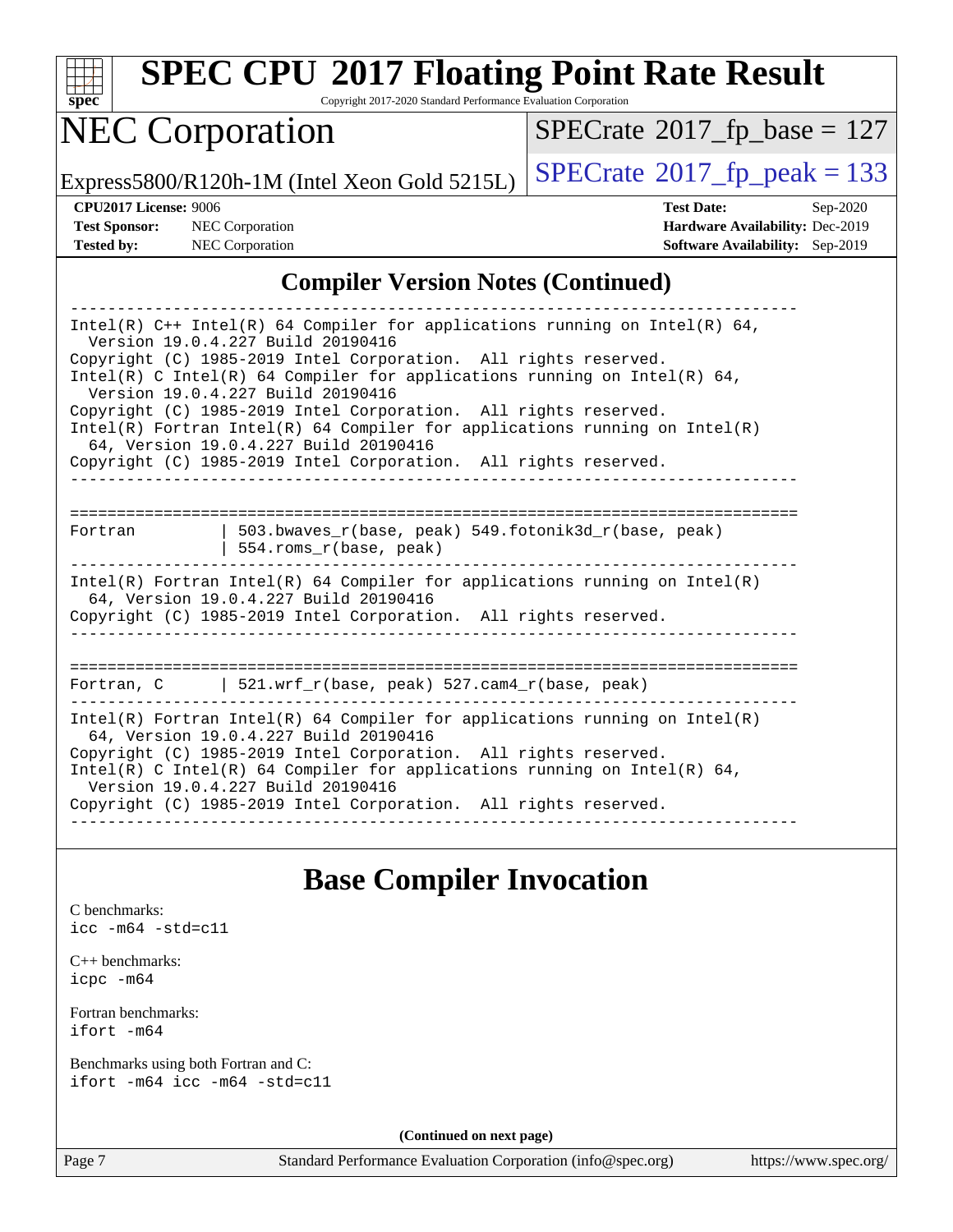|  | spec |  |  |
|--|------|--|--|

Copyright 2017-2020 Standard Performance Evaluation Corporation

## NEC Corporation

 $SPECrate$ <sup>®</sup>[2017\\_fp\\_base =](http://www.spec.org/auto/cpu2017/Docs/result-fields.html#SPECrate2017fpbase) 127

Express5800/R120h-1M (Intel Xeon Gold 5215L)  $\left|$  [SPECrate](http://www.spec.org/auto/cpu2017/Docs/result-fields.html#SPECrate2017fppeak)<sup>®</sup>[2017\\_fp\\_peak = 1](http://www.spec.org/auto/cpu2017/Docs/result-fields.html#SPECrate2017fppeak)33

**[CPU2017 License:](http://www.spec.org/auto/cpu2017/Docs/result-fields.html#CPU2017License)** 9006 **[Test Date:](http://www.spec.org/auto/cpu2017/Docs/result-fields.html#TestDate)** Sep-2020 **[Test Sponsor:](http://www.spec.org/auto/cpu2017/Docs/result-fields.html#TestSponsor)** NEC Corporation **[Hardware Availability:](http://www.spec.org/auto/cpu2017/Docs/result-fields.html#HardwareAvailability)** Dec-2019 **[Tested by:](http://www.spec.org/auto/cpu2017/Docs/result-fields.html#Testedby)** NEC Corporation **[Software Availability:](http://www.spec.org/auto/cpu2017/Docs/result-fields.html#SoftwareAvailability)** Sep-2019

#### **[Compiler Version Notes \(Continued\)](http://www.spec.org/auto/cpu2017/Docs/result-fields.html#CompilerVersionNotes)**

| Intel(R) $C++$ Intel(R) 64 Compiler for applications running on Intel(R) 64,<br>Version 19.0.4.227 Build 20190416<br>Copyright (C) 1985-2019 Intel Corporation. All rights reserved. |  |  |  |  |
|--------------------------------------------------------------------------------------------------------------------------------------------------------------------------------------|--|--|--|--|
| Intel(R) C Intel(R) 64 Compiler for applications running on Intel(R) 64,<br>Version 19.0.4.227 Build 20190416                                                                        |  |  |  |  |
| Copyright (C) 1985-2019 Intel Corporation. All rights reserved.<br>Intel(R) Fortran Intel(R) 64 Compiler for applications running on Intel(R)                                        |  |  |  |  |
| 64, Version 19.0.4.227 Build 20190416<br>Copyright (C) 1985-2019 Intel Corporation. All rights reserved.                                                                             |  |  |  |  |
|                                                                                                                                                                                      |  |  |  |  |
| 503.bwaves $r(base, peak)$ 549.fotonik3d $r(base, peak)$<br>Fortran<br>554.roms_r(base, peak)                                                                                        |  |  |  |  |
| Intel(R) Fortran Intel(R) 64 Compiler for applications running on Intel(R)<br>64, Version 19.0.4.227 Build 20190416                                                                  |  |  |  |  |
| Copyright (C) 1985-2019 Intel Corporation. All rights reserved.                                                                                                                      |  |  |  |  |
|                                                                                                                                                                                      |  |  |  |  |
| Fortran, C $\vert$ 521.wrf r(base, peak) 527.cam4 r(base, peak)                                                                                                                      |  |  |  |  |
| Intel(R) Fortran Intel(R) 64 Compiler for applications running on Intel(R)<br>64, Version 19.0.4.227 Build 20190416                                                                  |  |  |  |  |
| Copyright (C) 1985-2019 Intel Corporation. All rights reserved.<br>Intel(R) C Intel(R) 64 Compiler for applications running on Intel(R) 64,<br>Version 19.0.4.227 Build 20190416     |  |  |  |  |
| Copyright (C) 1985-2019 Intel Corporation. All rights reserved.                                                                                                                      |  |  |  |  |

#### **[Base Compiler Invocation](http://www.spec.org/auto/cpu2017/Docs/result-fields.html#BaseCompilerInvocation)**

[C benchmarks](http://www.spec.org/auto/cpu2017/Docs/result-fields.html#Cbenchmarks): [icc -m64 -std=c11](http://www.spec.org/cpu2017/results/res2020q4/cpu2017-20200928-24120.flags.html#user_CCbase_intel_icc_64bit_c11_33ee0cdaae7deeeab2a9725423ba97205ce30f63b9926c2519791662299b76a0318f32ddfffdc46587804de3178b4f9328c46fa7c2b0cd779d7a61945c91cd35)

[C++ benchmarks:](http://www.spec.org/auto/cpu2017/Docs/result-fields.html#CXXbenchmarks) [icpc -m64](http://www.spec.org/cpu2017/results/res2020q4/cpu2017-20200928-24120.flags.html#user_CXXbase_intel_icpc_64bit_4ecb2543ae3f1412ef961e0650ca070fec7b7afdcd6ed48761b84423119d1bf6bdf5cad15b44d48e7256388bc77273b966e5eb805aefd121eb22e9299b2ec9d9)

[Fortran benchmarks](http://www.spec.org/auto/cpu2017/Docs/result-fields.html#Fortranbenchmarks): [ifort -m64](http://www.spec.org/cpu2017/results/res2020q4/cpu2017-20200928-24120.flags.html#user_FCbase_intel_ifort_64bit_24f2bb282fbaeffd6157abe4f878425411749daecae9a33200eee2bee2fe76f3b89351d69a8130dd5949958ce389cf37ff59a95e7a40d588e8d3a57e0c3fd751)

[Benchmarks using both Fortran and C](http://www.spec.org/auto/cpu2017/Docs/result-fields.html#BenchmarksusingbothFortranandC): [ifort -m64](http://www.spec.org/cpu2017/results/res2020q4/cpu2017-20200928-24120.flags.html#user_CC_FCbase_intel_ifort_64bit_24f2bb282fbaeffd6157abe4f878425411749daecae9a33200eee2bee2fe76f3b89351d69a8130dd5949958ce389cf37ff59a95e7a40d588e8d3a57e0c3fd751) [icc -m64 -std=c11](http://www.spec.org/cpu2017/results/res2020q4/cpu2017-20200928-24120.flags.html#user_CC_FCbase_intel_icc_64bit_c11_33ee0cdaae7deeeab2a9725423ba97205ce30f63b9926c2519791662299b76a0318f32ddfffdc46587804de3178b4f9328c46fa7c2b0cd779d7a61945c91cd35)

**(Continued on next page)**

Page 7 Standard Performance Evaluation Corporation [\(info@spec.org\)](mailto:info@spec.org) <https://www.spec.org/>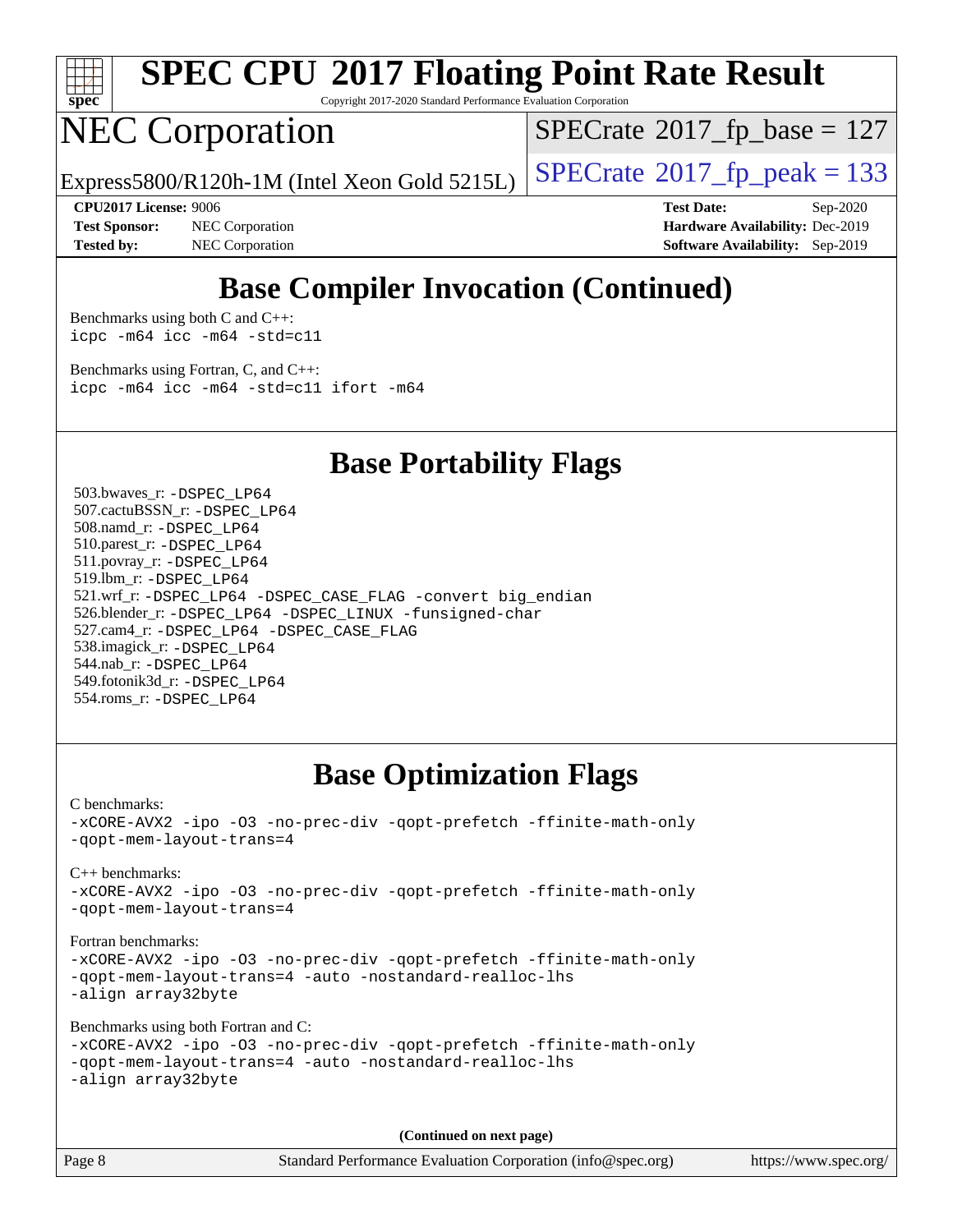

Copyright 2017-2020 Standard Performance Evaluation Corporation

## NEC Corporation

 $SPECTate$ <sup>®</sup>[2017\\_fp\\_base =](http://www.spec.org/auto/cpu2017/Docs/result-fields.html#SPECrate2017fpbase) 127

Express5800/R120h-1M (Intel Xeon Gold 5215L)  $\vert$  [SPECrate](http://www.spec.org/auto/cpu2017/Docs/result-fields.html#SPECrate2017fppeak)®[2017\\_fp\\_peak = 1](http://www.spec.org/auto/cpu2017/Docs/result-fields.html#SPECrate2017fppeak)33

**[Test Sponsor:](http://www.spec.org/auto/cpu2017/Docs/result-fields.html#TestSponsor)** NEC Corporation **[Hardware Availability:](http://www.spec.org/auto/cpu2017/Docs/result-fields.html#HardwareAvailability)** Dec-2019 **[Tested by:](http://www.spec.org/auto/cpu2017/Docs/result-fields.html#Testedby)** NEC Corporation **[Software Availability:](http://www.spec.org/auto/cpu2017/Docs/result-fields.html#SoftwareAvailability)** Sep-2019

**[CPU2017 License:](http://www.spec.org/auto/cpu2017/Docs/result-fields.html#CPU2017License)** 9006 **[Test Date:](http://www.spec.org/auto/cpu2017/Docs/result-fields.html#TestDate)** Sep-2020

#### **[Base Compiler Invocation \(Continued\)](http://www.spec.org/auto/cpu2017/Docs/result-fields.html#BaseCompilerInvocation)**

[Benchmarks using both C and C++](http://www.spec.org/auto/cpu2017/Docs/result-fields.html#BenchmarksusingbothCandCXX): [icpc -m64](http://www.spec.org/cpu2017/results/res2020q4/cpu2017-20200928-24120.flags.html#user_CC_CXXbase_intel_icpc_64bit_4ecb2543ae3f1412ef961e0650ca070fec7b7afdcd6ed48761b84423119d1bf6bdf5cad15b44d48e7256388bc77273b966e5eb805aefd121eb22e9299b2ec9d9) [icc -m64 -std=c11](http://www.spec.org/cpu2017/results/res2020q4/cpu2017-20200928-24120.flags.html#user_CC_CXXbase_intel_icc_64bit_c11_33ee0cdaae7deeeab2a9725423ba97205ce30f63b9926c2519791662299b76a0318f32ddfffdc46587804de3178b4f9328c46fa7c2b0cd779d7a61945c91cd35)

[Benchmarks using Fortran, C, and C++:](http://www.spec.org/auto/cpu2017/Docs/result-fields.html#BenchmarksusingFortranCandCXX) [icpc -m64](http://www.spec.org/cpu2017/results/res2020q4/cpu2017-20200928-24120.flags.html#user_CC_CXX_FCbase_intel_icpc_64bit_4ecb2543ae3f1412ef961e0650ca070fec7b7afdcd6ed48761b84423119d1bf6bdf5cad15b44d48e7256388bc77273b966e5eb805aefd121eb22e9299b2ec9d9) [icc -m64 -std=c11](http://www.spec.org/cpu2017/results/res2020q4/cpu2017-20200928-24120.flags.html#user_CC_CXX_FCbase_intel_icc_64bit_c11_33ee0cdaae7deeeab2a9725423ba97205ce30f63b9926c2519791662299b76a0318f32ddfffdc46587804de3178b4f9328c46fa7c2b0cd779d7a61945c91cd35) [ifort -m64](http://www.spec.org/cpu2017/results/res2020q4/cpu2017-20200928-24120.flags.html#user_CC_CXX_FCbase_intel_ifort_64bit_24f2bb282fbaeffd6157abe4f878425411749daecae9a33200eee2bee2fe76f3b89351d69a8130dd5949958ce389cf37ff59a95e7a40d588e8d3a57e0c3fd751)

**[Base Portability Flags](http://www.spec.org/auto/cpu2017/Docs/result-fields.html#BasePortabilityFlags)**

 503.bwaves\_r: [-DSPEC\\_LP64](http://www.spec.org/cpu2017/results/res2020q4/cpu2017-20200928-24120.flags.html#suite_basePORTABILITY503_bwaves_r_DSPEC_LP64) 507.cactuBSSN\_r: [-DSPEC\\_LP64](http://www.spec.org/cpu2017/results/res2020q4/cpu2017-20200928-24120.flags.html#suite_basePORTABILITY507_cactuBSSN_r_DSPEC_LP64) 508.namd\_r: [-DSPEC\\_LP64](http://www.spec.org/cpu2017/results/res2020q4/cpu2017-20200928-24120.flags.html#suite_basePORTABILITY508_namd_r_DSPEC_LP64) 510.parest\_r: [-DSPEC\\_LP64](http://www.spec.org/cpu2017/results/res2020q4/cpu2017-20200928-24120.flags.html#suite_basePORTABILITY510_parest_r_DSPEC_LP64) 511.povray\_r: [-DSPEC\\_LP64](http://www.spec.org/cpu2017/results/res2020q4/cpu2017-20200928-24120.flags.html#suite_basePORTABILITY511_povray_r_DSPEC_LP64) 519.lbm\_r: [-DSPEC\\_LP64](http://www.spec.org/cpu2017/results/res2020q4/cpu2017-20200928-24120.flags.html#suite_basePORTABILITY519_lbm_r_DSPEC_LP64) 521.wrf\_r: [-DSPEC\\_LP64](http://www.spec.org/cpu2017/results/res2020q4/cpu2017-20200928-24120.flags.html#suite_basePORTABILITY521_wrf_r_DSPEC_LP64) [-DSPEC\\_CASE\\_FLAG](http://www.spec.org/cpu2017/results/res2020q4/cpu2017-20200928-24120.flags.html#b521.wrf_r_baseCPORTABILITY_DSPEC_CASE_FLAG) [-convert big\\_endian](http://www.spec.org/cpu2017/results/res2020q4/cpu2017-20200928-24120.flags.html#user_baseFPORTABILITY521_wrf_r_convert_big_endian_c3194028bc08c63ac5d04de18c48ce6d347e4e562e8892b8bdbdc0214820426deb8554edfa529a3fb25a586e65a3d812c835984020483e7e73212c4d31a38223) 526.blender\_r: [-DSPEC\\_LP64](http://www.spec.org/cpu2017/results/res2020q4/cpu2017-20200928-24120.flags.html#suite_basePORTABILITY526_blender_r_DSPEC_LP64) [-DSPEC\\_LINUX](http://www.spec.org/cpu2017/results/res2020q4/cpu2017-20200928-24120.flags.html#b526.blender_r_baseCPORTABILITY_DSPEC_LINUX) [-funsigned-char](http://www.spec.org/cpu2017/results/res2020q4/cpu2017-20200928-24120.flags.html#user_baseCPORTABILITY526_blender_r_force_uchar_40c60f00ab013830e2dd6774aeded3ff59883ba5a1fc5fc14077f794d777847726e2a5858cbc7672e36e1b067e7e5c1d9a74f7176df07886a243d7cc18edfe67) 527.cam4\_r: [-DSPEC\\_LP64](http://www.spec.org/cpu2017/results/res2020q4/cpu2017-20200928-24120.flags.html#suite_basePORTABILITY527_cam4_r_DSPEC_LP64) [-DSPEC\\_CASE\\_FLAG](http://www.spec.org/cpu2017/results/res2020q4/cpu2017-20200928-24120.flags.html#b527.cam4_r_baseCPORTABILITY_DSPEC_CASE_FLAG) 538.imagick\_r: [-DSPEC\\_LP64](http://www.spec.org/cpu2017/results/res2020q4/cpu2017-20200928-24120.flags.html#suite_basePORTABILITY538_imagick_r_DSPEC_LP64) 544.nab\_r: [-DSPEC\\_LP64](http://www.spec.org/cpu2017/results/res2020q4/cpu2017-20200928-24120.flags.html#suite_basePORTABILITY544_nab_r_DSPEC_LP64) 549.fotonik3d\_r: [-DSPEC\\_LP64](http://www.spec.org/cpu2017/results/res2020q4/cpu2017-20200928-24120.flags.html#suite_basePORTABILITY549_fotonik3d_r_DSPEC_LP64) 554.roms\_r: [-DSPEC\\_LP64](http://www.spec.org/cpu2017/results/res2020q4/cpu2017-20200928-24120.flags.html#suite_basePORTABILITY554_roms_r_DSPEC_LP64)

#### **[Base Optimization Flags](http://www.spec.org/auto/cpu2017/Docs/result-fields.html#BaseOptimizationFlags)**

[C benchmarks](http://www.spec.org/auto/cpu2017/Docs/result-fields.html#Cbenchmarks):

[-xCORE-AVX2](http://www.spec.org/cpu2017/results/res2020q4/cpu2017-20200928-24120.flags.html#user_CCbase_f-xCORE-AVX2) [-ipo](http://www.spec.org/cpu2017/results/res2020q4/cpu2017-20200928-24120.flags.html#user_CCbase_f-ipo) [-O3](http://www.spec.org/cpu2017/results/res2020q4/cpu2017-20200928-24120.flags.html#user_CCbase_f-O3) [-no-prec-div](http://www.spec.org/cpu2017/results/res2020q4/cpu2017-20200928-24120.flags.html#user_CCbase_f-no-prec-div) [-qopt-prefetch](http://www.spec.org/cpu2017/results/res2020q4/cpu2017-20200928-24120.flags.html#user_CCbase_f-qopt-prefetch) [-ffinite-math-only](http://www.spec.org/cpu2017/results/res2020q4/cpu2017-20200928-24120.flags.html#user_CCbase_f_finite_math_only_cb91587bd2077682c4b38af759c288ed7c732db004271a9512da14a4f8007909a5f1427ecbf1a0fb78ff2a814402c6114ac565ca162485bbcae155b5e4258871) [-qopt-mem-layout-trans=4](http://www.spec.org/cpu2017/results/res2020q4/cpu2017-20200928-24120.flags.html#user_CCbase_f-qopt-mem-layout-trans_fa39e755916c150a61361b7846f310bcdf6f04e385ef281cadf3647acec3f0ae266d1a1d22d972a7087a248fd4e6ca390a3634700869573d231a252c784941a8)

[C++ benchmarks:](http://www.spec.org/auto/cpu2017/Docs/result-fields.html#CXXbenchmarks)

[-xCORE-AVX2](http://www.spec.org/cpu2017/results/res2020q4/cpu2017-20200928-24120.flags.html#user_CXXbase_f-xCORE-AVX2) [-ipo](http://www.spec.org/cpu2017/results/res2020q4/cpu2017-20200928-24120.flags.html#user_CXXbase_f-ipo) [-O3](http://www.spec.org/cpu2017/results/res2020q4/cpu2017-20200928-24120.flags.html#user_CXXbase_f-O3) [-no-prec-div](http://www.spec.org/cpu2017/results/res2020q4/cpu2017-20200928-24120.flags.html#user_CXXbase_f-no-prec-div) [-qopt-prefetch](http://www.spec.org/cpu2017/results/res2020q4/cpu2017-20200928-24120.flags.html#user_CXXbase_f-qopt-prefetch) [-ffinite-math-only](http://www.spec.org/cpu2017/results/res2020q4/cpu2017-20200928-24120.flags.html#user_CXXbase_f_finite_math_only_cb91587bd2077682c4b38af759c288ed7c732db004271a9512da14a4f8007909a5f1427ecbf1a0fb78ff2a814402c6114ac565ca162485bbcae155b5e4258871) [-qopt-mem-layout-trans=4](http://www.spec.org/cpu2017/results/res2020q4/cpu2017-20200928-24120.flags.html#user_CXXbase_f-qopt-mem-layout-trans_fa39e755916c150a61361b7846f310bcdf6f04e385ef281cadf3647acec3f0ae266d1a1d22d972a7087a248fd4e6ca390a3634700869573d231a252c784941a8)

[Fortran benchmarks](http://www.spec.org/auto/cpu2017/Docs/result-fields.html#Fortranbenchmarks): [-xCORE-AVX2](http://www.spec.org/cpu2017/results/res2020q4/cpu2017-20200928-24120.flags.html#user_FCbase_f-xCORE-AVX2) [-ipo](http://www.spec.org/cpu2017/results/res2020q4/cpu2017-20200928-24120.flags.html#user_FCbase_f-ipo) [-O3](http://www.spec.org/cpu2017/results/res2020q4/cpu2017-20200928-24120.flags.html#user_FCbase_f-O3) [-no-prec-div](http://www.spec.org/cpu2017/results/res2020q4/cpu2017-20200928-24120.flags.html#user_FCbase_f-no-prec-div) [-qopt-prefetch](http://www.spec.org/cpu2017/results/res2020q4/cpu2017-20200928-24120.flags.html#user_FCbase_f-qopt-prefetch) [-ffinite-math-only](http://www.spec.org/cpu2017/results/res2020q4/cpu2017-20200928-24120.flags.html#user_FCbase_f_finite_math_only_cb91587bd2077682c4b38af759c288ed7c732db004271a9512da14a4f8007909a5f1427ecbf1a0fb78ff2a814402c6114ac565ca162485bbcae155b5e4258871) [-qopt-mem-layout-trans=4](http://www.spec.org/cpu2017/results/res2020q4/cpu2017-20200928-24120.flags.html#user_FCbase_f-qopt-mem-layout-trans_fa39e755916c150a61361b7846f310bcdf6f04e385ef281cadf3647acec3f0ae266d1a1d22d972a7087a248fd4e6ca390a3634700869573d231a252c784941a8) [-auto](http://www.spec.org/cpu2017/results/res2020q4/cpu2017-20200928-24120.flags.html#user_FCbase_f-auto) [-nostandard-realloc-lhs](http://www.spec.org/cpu2017/results/res2020q4/cpu2017-20200928-24120.flags.html#user_FCbase_f_2003_std_realloc_82b4557e90729c0f113870c07e44d33d6f5a304b4f63d4c15d2d0f1fab99f5daaed73bdb9275d9ae411527f28b936061aa8b9c8f2d63842963b95c9dd6426b8a) [-align array32byte](http://www.spec.org/cpu2017/results/res2020q4/cpu2017-20200928-24120.flags.html#user_FCbase_align_array32byte_b982fe038af199962ba9a80c053b8342c548c85b40b8e86eb3cc33dee0d7986a4af373ac2d51c3f7cf710a18d62fdce2948f201cd044323541f22fc0fffc51b6)

[Benchmarks using both Fortran and C](http://www.spec.org/auto/cpu2017/Docs/result-fields.html#BenchmarksusingbothFortranandC):

[-xCORE-AVX2](http://www.spec.org/cpu2017/results/res2020q4/cpu2017-20200928-24120.flags.html#user_CC_FCbase_f-xCORE-AVX2) [-ipo](http://www.spec.org/cpu2017/results/res2020q4/cpu2017-20200928-24120.flags.html#user_CC_FCbase_f-ipo) [-O3](http://www.spec.org/cpu2017/results/res2020q4/cpu2017-20200928-24120.flags.html#user_CC_FCbase_f-O3) [-no-prec-div](http://www.spec.org/cpu2017/results/res2020q4/cpu2017-20200928-24120.flags.html#user_CC_FCbase_f-no-prec-div) [-qopt-prefetch](http://www.spec.org/cpu2017/results/res2020q4/cpu2017-20200928-24120.flags.html#user_CC_FCbase_f-qopt-prefetch) [-ffinite-math-only](http://www.spec.org/cpu2017/results/res2020q4/cpu2017-20200928-24120.flags.html#user_CC_FCbase_f_finite_math_only_cb91587bd2077682c4b38af759c288ed7c732db004271a9512da14a4f8007909a5f1427ecbf1a0fb78ff2a814402c6114ac565ca162485bbcae155b5e4258871) [-qopt-mem-layout-trans=4](http://www.spec.org/cpu2017/results/res2020q4/cpu2017-20200928-24120.flags.html#user_CC_FCbase_f-qopt-mem-layout-trans_fa39e755916c150a61361b7846f310bcdf6f04e385ef281cadf3647acec3f0ae266d1a1d22d972a7087a248fd4e6ca390a3634700869573d231a252c784941a8) [-auto](http://www.spec.org/cpu2017/results/res2020q4/cpu2017-20200928-24120.flags.html#user_CC_FCbase_f-auto) [-nostandard-realloc-lhs](http://www.spec.org/cpu2017/results/res2020q4/cpu2017-20200928-24120.flags.html#user_CC_FCbase_f_2003_std_realloc_82b4557e90729c0f113870c07e44d33d6f5a304b4f63d4c15d2d0f1fab99f5daaed73bdb9275d9ae411527f28b936061aa8b9c8f2d63842963b95c9dd6426b8a) [-align array32byte](http://www.spec.org/cpu2017/results/res2020q4/cpu2017-20200928-24120.flags.html#user_CC_FCbase_align_array32byte_b982fe038af199962ba9a80c053b8342c548c85b40b8e86eb3cc33dee0d7986a4af373ac2d51c3f7cf710a18d62fdce2948f201cd044323541f22fc0fffc51b6)

**(Continued on next page)**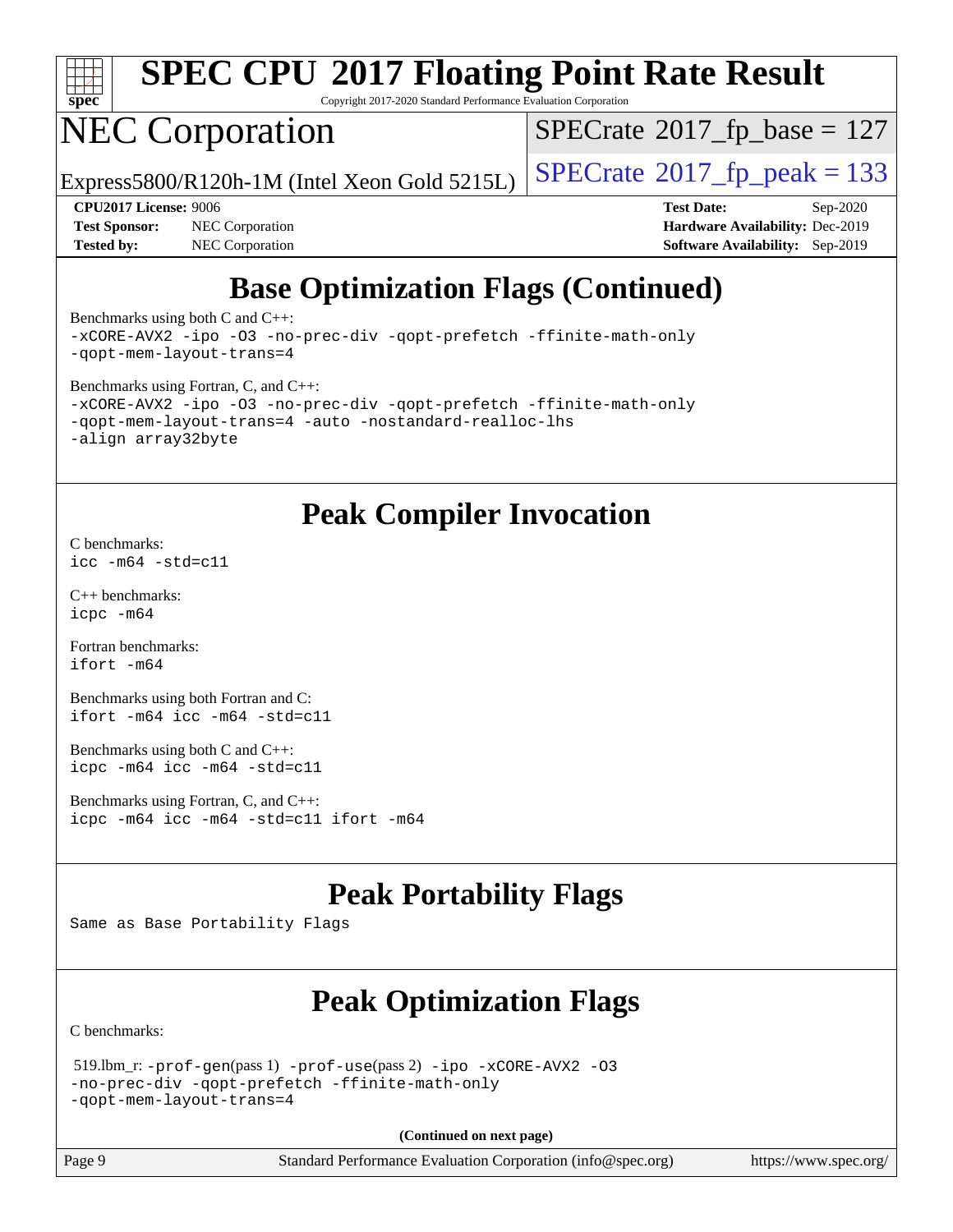

Copyright 2017-2020 Standard Performance Evaluation Corporation

## NEC Corporation

 $SPECTate$ <sup>®</sup>[2017\\_fp\\_base =](http://www.spec.org/auto/cpu2017/Docs/result-fields.html#SPECrate2017fpbase) 127

Express5800/R120h-1M (Intel Xeon Gold 5215L)  $\vert$  [SPECrate](http://www.spec.org/auto/cpu2017/Docs/result-fields.html#SPECrate2017fppeak)®[2017\\_fp\\_peak = 1](http://www.spec.org/auto/cpu2017/Docs/result-fields.html#SPECrate2017fppeak)33

**[Tested by:](http://www.spec.org/auto/cpu2017/Docs/result-fields.html#Testedby)** NEC Corporation **[Software Availability:](http://www.spec.org/auto/cpu2017/Docs/result-fields.html#SoftwareAvailability)** Sep-2019

**[CPU2017 License:](http://www.spec.org/auto/cpu2017/Docs/result-fields.html#CPU2017License)** 9006 **[Test Date:](http://www.spec.org/auto/cpu2017/Docs/result-fields.html#TestDate)** Sep-2020 **[Test Sponsor:](http://www.spec.org/auto/cpu2017/Docs/result-fields.html#TestSponsor)** NEC Corporation **[Hardware Availability:](http://www.spec.org/auto/cpu2017/Docs/result-fields.html#HardwareAvailability)** Dec-2019

## **[Base Optimization Flags \(Continued\)](http://www.spec.org/auto/cpu2017/Docs/result-fields.html#BaseOptimizationFlags)**

[Benchmarks using both C and C++](http://www.spec.org/auto/cpu2017/Docs/result-fields.html#BenchmarksusingbothCandCXX): [-xCORE-AVX2](http://www.spec.org/cpu2017/results/res2020q4/cpu2017-20200928-24120.flags.html#user_CC_CXXbase_f-xCORE-AVX2) [-ipo](http://www.spec.org/cpu2017/results/res2020q4/cpu2017-20200928-24120.flags.html#user_CC_CXXbase_f-ipo) [-O3](http://www.spec.org/cpu2017/results/res2020q4/cpu2017-20200928-24120.flags.html#user_CC_CXXbase_f-O3) [-no-prec-div](http://www.spec.org/cpu2017/results/res2020q4/cpu2017-20200928-24120.flags.html#user_CC_CXXbase_f-no-prec-div) [-qopt-prefetch](http://www.spec.org/cpu2017/results/res2020q4/cpu2017-20200928-24120.flags.html#user_CC_CXXbase_f-qopt-prefetch) [-ffinite-math-only](http://www.spec.org/cpu2017/results/res2020q4/cpu2017-20200928-24120.flags.html#user_CC_CXXbase_f_finite_math_only_cb91587bd2077682c4b38af759c288ed7c732db004271a9512da14a4f8007909a5f1427ecbf1a0fb78ff2a814402c6114ac565ca162485bbcae155b5e4258871) [-qopt-mem-layout-trans=4](http://www.spec.org/cpu2017/results/res2020q4/cpu2017-20200928-24120.flags.html#user_CC_CXXbase_f-qopt-mem-layout-trans_fa39e755916c150a61361b7846f310bcdf6f04e385ef281cadf3647acec3f0ae266d1a1d22d972a7087a248fd4e6ca390a3634700869573d231a252c784941a8)

[Benchmarks using Fortran, C, and C++:](http://www.spec.org/auto/cpu2017/Docs/result-fields.html#BenchmarksusingFortranCandCXX)

```
-xCORE-AVX2 -ipo -O3 -no-prec-div -qopt-prefetch -ffinite-math-only
-qopt-mem-layout-trans=4 -auto -nostandard-realloc-lhs
-align array32byte
```
#### **[Peak Compiler Invocation](http://www.spec.org/auto/cpu2017/Docs/result-fields.html#PeakCompilerInvocation)**

[C benchmarks](http://www.spec.org/auto/cpu2017/Docs/result-fields.html#Cbenchmarks): [icc -m64 -std=c11](http://www.spec.org/cpu2017/results/res2020q4/cpu2017-20200928-24120.flags.html#user_CCpeak_intel_icc_64bit_c11_33ee0cdaae7deeeab2a9725423ba97205ce30f63b9926c2519791662299b76a0318f32ddfffdc46587804de3178b4f9328c46fa7c2b0cd779d7a61945c91cd35)

[C++ benchmarks:](http://www.spec.org/auto/cpu2017/Docs/result-fields.html#CXXbenchmarks) [icpc -m64](http://www.spec.org/cpu2017/results/res2020q4/cpu2017-20200928-24120.flags.html#user_CXXpeak_intel_icpc_64bit_4ecb2543ae3f1412ef961e0650ca070fec7b7afdcd6ed48761b84423119d1bf6bdf5cad15b44d48e7256388bc77273b966e5eb805aefd121eb22e9299b2ec9d9)

[Fortran benchmarks](http://www.spec.org/auto/cpu2017/Docs/result-fields.html#Fortranbenchmarks): [ifort -m64](http://www.spec.org/cpu2017/results/res2020q4/cpu2017-20200928-24120.flags.html#user_FCpeak_intel_ifort_64bit_24f2bb282fbaeffd6157abe4f878425411749daecae9a33200eee2bee2fe76f3b89351d69a8130dd5949958ce389cf37ff59a95e7a40d588e8d3a57e0c3fd751)

[Benchmarks using both Fortran and C](http://www.spec.org/auto/cpu2017/Docs/result-fields.html#BenchmarksusingbothFortranandC): [ifort -m64](http://www.spec.org/cpu2017/results/res2020q4/cpu2017-20200928-24120.flags.html#user_CC_FCpeak_intel_ifort_64bit_24f2bb282fbaeffd6157abe4f878425411749daecae9a33200eee2bee2fe76f3b89351d69a8130dd5949958ce389cf37ff59a95e7a40d588e8d3a57e0c3fd751) [icc -m64 -std=c11](http://www.spec.org/cpu2017/results/res2020q4/cpu2017-20200928-24120.flags.html#user_CC_FCpeak_intel_icc_64bit_c11_33ee0cdaae7deeeab2a9725423ba97205ce30f63b9926c2519791662299b76a0318f32ddfffdc46587804de3178b4f9328c46fa7c2b0cd779d7a61945c91cd35)

[Benchmarks using both C and C++](http://www.spec.org/auto/cpu2017/Docs/result-fields.html#BenchmarksusingbothCandCXX): [icpc -m64](http://www.spec.org/cpu2017/results/res2020q4/cpu2017-20200928-24120.flags.html#user_CC_CXXpeak_intel_icpc_64bit_4ecb2543ae3f1412ef961e0650ca070fec7b7afdcd6ed48761b84423119d1bf6bdf5cad15b44d48e7256388bc77273b966e5eb805aefd121eb22e9299b2ec9d9) [icc -m64 -std=c11](http://www.spec.org/cpu2017/results/res2020q4/cpu2017-20200928-24120.flags.html#user_CC_CXXpeak_intel_icc_64bit_c11_33ee0cdaae7deeeab2a9725423ba97205ce30f63b9926c2519791662299b76a0318f32ddfffdc46587804de3178b4f9328c46fa7c2b0cd779d7a61945c91cd35)

[Benchmarks using Fortran, C, and C++:](http://www.spec.org/auto/cpu2017/Docs/result-fields.html#BenchmarksusingFortranCandCXX) [icpc -m64](http://www.spec.org/cpu2017/results/res2020q4/cpu2017-20200928-24120.flags.html#user_CC_CXX_FCpeak_intel_icpc_64bit_4ecb2543ae3f1412ef961e0650ca070fec7b7afdcd6ed48761b84423119d1bf6bdf5cad15b44d48e7256388bc77273b966e5eb805aefd121eb22e9299b2ec9d9) [icc -m64 -std=c11](http://www.spec.org/cpu2017/results/res2020q4/cpu2017-20200928-24120.flags.html#user_CC_CXX_FCpeak_intel_icc_64bit_c11_33ee0cdaae7deeeab2a9725423ba97205ce30f63b9926c2519791662299b76a0318f32ddfffdc46587804de3178b4f9328c46fa7c2b0cd779d7a61945c91cd35) [ifort -m64](http://www.spec.org/cpu2017/results/res2020q4/cpu2017-20200928-24120.flags.html#user_CC_CXX_FCpeak_intel_ifort_64bit_24f2bb282fbaeffd6157abe4f878425411749daecae9a33200eee2bee2fe76f3b89351d69a8130dd5949958ce389cf37ff59a95e7a40d588e8d3a57e0c3fd751)

## **[Peak Portability Flags](http://www.spec.org/auto/cpu2017/Docs/result-fields.html#PeakPortabilityFlags)**

Same as Base Portability Flags

## **[Peak Optimization Flags](http://www.spec.org/auto/cpu2017/Docs/result-fields.html#PeakOptimizationFlags)**

[C benchmarks](http://www.spec.org/auto/cpu2017/Docs/result-fields.html#Cbenchmarks):

```
 519.lbm_r: -prof-gen(pass 1) -prof-use(pass 2) -ipo -xCORE-AVX2 -O3
-no-prec-div -qopt-prefetch -ffinite-math-only
-qopt-mem-layout-trans=4
```
**(Continued on next page)**

Page 9 Standard Performance Evaluation Corporation [\(info@spec.org\)](mailto:info@spec.org) <https://www.spec.org/>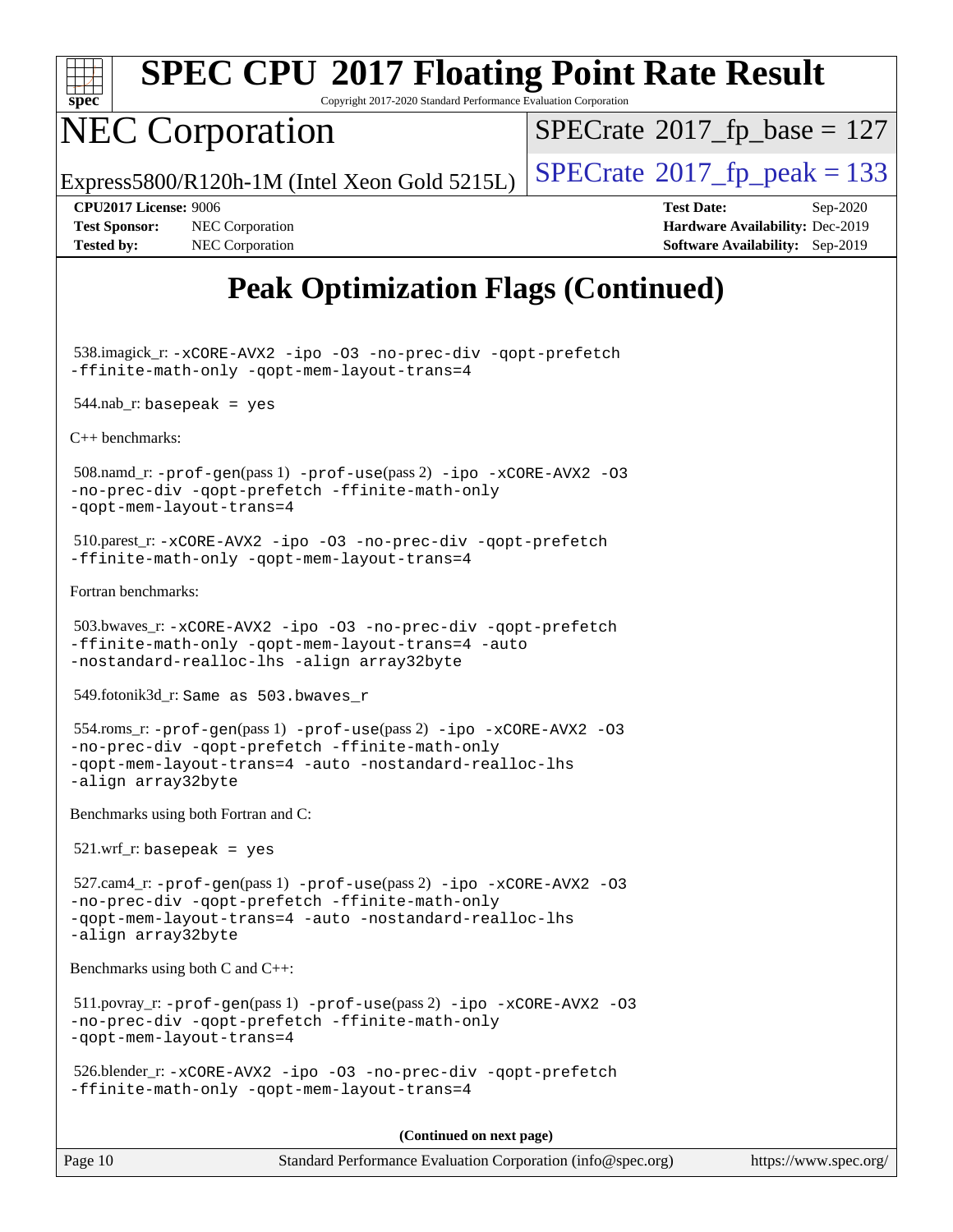

Copyright 2017-2020 Standard Performance Evaluation Corporation

## NEC Corporation

 $SPECrate$ <sup>®</sup>[2017\\_fp\\_base =](http://www.spec.org/auto/cpu2017/Docs/result-fields.html#SPECrate2017fpbase) 127

Express5800/R120h-1M (Intel Xeon Gold 5215L)  $\vert$  [SPECrate](http://www.spec.org/auto/cpu2017/Docs/result-fields.html#SPECrate2017fppeak)®[2017\\_fp\\_peak = 1](http://www.spec.org/auto/cpu2017/Docs/result-fields.html#SPECrate2017fppeak)33

**[Tested by:](http://www.spec.org/auto/cpu2017/Docs/result-fields.html#Testedby)** NEC Corporation **[Software Availability:](http://www.spec.org/auto/cpu2017/Docs/result-fields.html#SoftwareAvailability)** Sep-2019

**[CPU2017 License:](http://www.spec.org/auto/cpu2017/Docs/result-fields.html#CPU2017License)** 9006 **[Test Date:](http://www.spec.org/auto/cpu2017/Docs/result-fields.html#TestDate)** Sep-2020 **[Test Sponsor:](http://www.spec.org/auto/cpu2017/Docs/result-fields.html#TestSponsor)** NEC Corporation **[Hardware Availability:](http://www.spec.org/auto/cpu2017/Docs/result-fields.html#HardwareAvailability)** Dec-2019

## **[Peak Optimization Flags \(Continued\)](http://www.spec.org/auto/cpu2017/Docs/result-fields.html#PeakOptimizationFlags)**

 538.imagick\_r: [-xCORE-AVX2](http://www.spec.org/cpu2017/results/res2020q4/cpu2017-20200928-24120.flags.html#user_peakCOPTIMIZE538_imagick_r_f-xCORE-AVX2) [-ipo](http://www.spec.org/cpu2017/results/res2020q4/cpu2017-20200928-24120.flags.html#user_peakCOPTIMIZE538_imagick_r_f-ipo) [-O3](http://www.spec.org/cpu2017/results/res2020q4/cpu2017-20200928-24120.flags.html#user_peakCOPTIMIZE538_imagick_r_f-O3) [-no-prec-div](http://www.spec.org/cpu2017/results/res2020q4/cpu2017-20200928-24120.flags.html#user_peakCOPTIMIZE538_imagick_r_f-no-prec-div) [-qopt-prefetch](http://www.spec.org/cpu2017/results/res2020q4/cpu2017-20200928-24120.flags.html#user_peakCOPTIMIZE538_imagick_r_f-qopt-prefetch) [-ffinite-math-only](http://www.spec.org/cpu2017/results/res2020q4/cpu2017-20200928-24120.flags.html#user_peakCOPTIMIZE538_imagick_r_f_finite_math_only_cb91587bd2077682c4b38af759c288ed7c732db004271a9512da14a4f8007909a5f1427ecbf1a0fb78ff2a814402c6114ac565ca162485bbcae155b5e4258871) [-qopt-mem-layout-trans=4](http://www.spec.org/cpu2017/results/res2020q4/cpu2017-20200928-24120.flags.html#user_peakCOPTIMIZE538_imagick_r_f-qopt-mem-layout-trans_fa39e755916c150a61361b7846f310bcdf6f04e385ef281cadf3647acec3f0ae266d1a1d22d972a7087a248fd4e6ca390a3634700869573d231a252c784941a8)

 $544$ .nab\_r: basepeak = yes

[C++ benchmarks:](http://www.spec.org/auto/cpu2017/Docs/result-fields.html#CXXbenchmarks)

 508.namd\_r: [-prof-gen](http://www.spec.org/cpu2017/results/res2020q4/cpu2017-20200928-24120.flags.html#user_peakPASS1_CXXFLAGSPASS1_LDFLAGS508_namd_r_prof_gen_5aa4926d6013ddb2a31985c654b3eb18169fc0c6952a63635c234f711e6e63dd76e94ad52365559451ec499a2cdb89e4dc58ba4c67ef54ca681ffbe1461d6b36)(pass 1) [-prof-use](http://www.spec.org/cpu2017/results/res2020q4/cpu2017-20200928-24120.flags.html#user_peakPASS2_CXXFLAGSPASS2_LDFLAGS508_namd_r_prof_use_1a21ceae95f36a2b53c25747139a6c16ca95bd9def2a207b4f0849963b97e94f5260e30a0c64f4bb623698870e679ca08317ef8150905d41bd88c6f78df73f19)(pass 2) [-ipo](http://www.spec.org/cpu2017/results/res2020q4/cpu2017-20200928-24120.flags.html#user_peakPASS1_CXXOPTIMIZEPASS2_CXXOPTIMIZE508_namd_r_f-ipo) [-xCORE-AVX2](http://www.spec.org/cpu2017/results/res2020q4/cpu2017-20200928-24120.flags.html#user_peakPASS2_CXXOPTIMIZE508_namd_r_f-xCORE-AVX2) [-O3](http://www.spec.org/cpu2017/results/res2020q4/cpu2017-20200928-24120.flags.html#user_peakPASS1_CXXOPTIMIZEPASS2_CXXOPTIMIZE508_namd_r_f-O3) [-no-prec-div](http://www.spec.org/cpu2017/results/res2020q4/cpu2017-20200928-24120.flags.html#user_peakPASS1_CXXOPTIMIZEPASS2_CXXOPTIMIZE508_namd_r_f-no-prec-div) [-qopt-prefetch](http://www.spec.org/cpu2017/results/res2020q4/cpu2017-20200928-24120.flags.html#user_peakPASS1_CXXOPTIMIZEPASS2_CXXOPTIMIZE508_namd_r_f-qopt-prefetch) [-ffinite-math-only](http://www.spec.org/cpu2017/results/res2020q4/cpu2017-20200928-24120.flags.html#user_peakPASS1_CXXOPTIMIZEPASS2_CXXOPTIMIZE508_namd_r_f_finite_math_only_cb91587bd2077682c4b38af759c288ed7c732db004271a9512da14a4f8007909a5f1427ecbf1a0fb78ff2a814402c6114ac565ca162485bbcae155b5e4258871) [-qopt-mem-layout-trans=4](http://www.spec.org/cpu2017/results/res2020q4/cpu2017-20200928-24120.flags.html#user_peakPASS1_CXXOPTIMIZEPASS2_CXXOPTIMIZE508_namd_r_f-qopt-mem-layout-trans_fa39e755916c150a61361b7846f310bcdf6f04e385ef281cadf3647acec3f0ae266d1a1d22d972a7087a248fd4e6ca390a3634700869573d231a252c784941a8)

 510.parest\_r: [-xCORE-AVX2](http://www.spec.org/cpu2017/results/res2020q4/cpu2017-20200928-24120.flags.html#user_peakCXXOPTIMIZE510_parest_r_f-xCORE-AVX2) [-ipo](http://www.spec.org/cpu2017/results/res2020q4/cpu2017-20200928-24120.flags.html#user_peakCXXOPTIMIZE510_parest_r_f-ipo) [-O3](http://www.spec.org/cpu2017/results/res2020q4/cpu2017-20200928-24120.flags.html#user_peakCXXOPTIMIZE510_parest_r_f-O3) [-no-prec-div](http://www.spec.org/cpu2017/results/res2020q4/cpu2017-20200928-24120.flags.html#user_peakCXXOPTIMIZE510_parest_r_f-no-prec-div) [-qopt-prefetch](http://www.spec.org/cpu2017/results/res2020q4/cpu2017-20200928-24120.flags.html#user_peakCXXOPTIMIZE510_parest_r_f-qopt-prefetch) [-ffinite-math-only](http://www.spec.org/cpu2017/results/res2020q4/cpu2017-20200928-24120.flags.html#user_peakCXXOPTIMIZE510_parest_r_f_finite_math_only_cb91587bd2077682c4b38af759c288ed7c732db004271a9512da14a4f8007909a5f1427ecbf1a0fb78ff2a814402c6114ac565ca162485bbcae155b5e4258871) [-qopt-mem-layout-trans=4](http://www.spec.org/cpu2017/results/res2020q4/cpu2017-20200928-24120.flags.html#user_peakCXXOPTIMIZE510_parest_r_f-qopt-mem-layout-trans_fa39e755916c150a61361b7846f310bcdf6f04e385ef281cadf3647acec3f0ae266d1a1d22d972a7087a248fd4e6ca390a3634700869573d231a252c784941a8)

[Fortran benchmarks](http://www.spec.org/auto/cpu2017/Docs/result-fields.html#Fortranbenchmarks):

```
 503.bwaves_r: -xCORE-AVX2 -ipo -O3 -no-prec-div -qopt-prefetch
-ffinite-math-only -qopt-mem-layout-trans=4 -auto
-nostandard-realloc-lhs -align array32byte
```
549.fotonik3d\_r: Same as 503.bwaves\_r

```
 554.roms_r: -prof-gen(pass 1) -prof-use(pass 2) -ipo -xCORE-AVX2 -O3
-no-prec-div -qopt-prefetch -ffinite-math-only
-qopt-mem-layout-trans=4 -auto -nostandard-realloc-lhs
-align array32byte
```
[Benchmarks using both Fortran and C](http://www.spec.org/auto/cpu2017/Docs/result-fields.html#BenchmarksusingbothFortranandC):

521.wrf\_r: basepeak = yes

```
 527.cam4_r: -prof-gen(pass 1) -prof-use(pass 2) -ipo -xCORE-AVX2 -O3
-no-prec-div -qopt-prefetch -ffinite-math-only
-qopt-mem-layout-trans=4 -auto -nostandard-realloc-lhs
-align array32byte
```
[Benchmarks using both C and C++](http://www.spec.org/auto/cpu2017/Docs/result-fields.html#BenchmarksusingbothCandCXX):

```
 511.povray_r: -prof-gen(pass 1) -prof-use(pass 2) -ipo -xCORE-AVX2 -O3
-no-prec-div -qopt-prefetch -ffinite-math-only
-qopt-mem-layout-trans=4
```

```
 526.blender_r: -xCORE-AVX2 -ipo -O3 -no-prec-div -qopt-prefetch
-ffinite-math-only -qopt-mem-layout-trans=4
```
**(Continued on next page)**